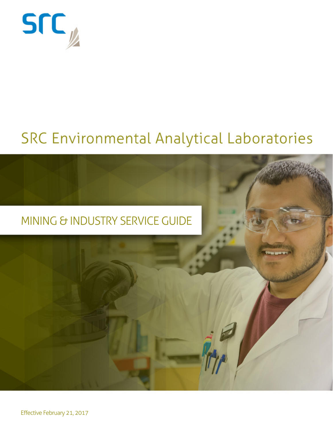

## SRC Environmental Analytical Laboratories





Effective February 21, 2017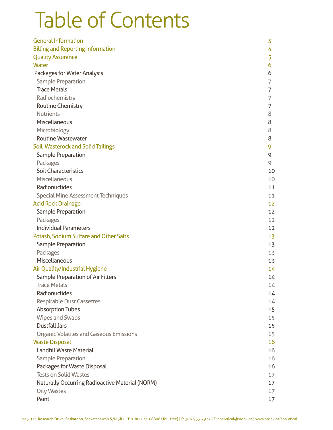# Table of Contents

| <b>General Information</b>                      | 3  |
|-------------------------------------------------|----|
| <b>Billing and Reporting Information</b>        | 4  |
| <b>Quality Assurance</b>                        | 5  |
| Water                                           | 6  |
| Packages for Water Analysis                     | 6  |
| <b>Sample Preparation</b>                       | 7  |
| <b>Trace Metals</b>                             | 7  |
| Radiochemistry                                  | 7  |
| <b>Routine Chemistry</b>                        | 7  |
| <b>Nutrients</b>                                | 8  |
| Miscellaneous                                   | 8  |
| Microbiology                                    | 8  |
| <b>Routine Wastewater</b>                       | 8  |
| Soil, Wasterock and Solid Tailings              | 9  |
| <b>Sample Preparation</b>                       | 9  |
| Packages                                        | 9  |
| <b>Soil Characteristics</b>                     | 10 |
| Miscellaneous                                   | 10 |
| Radionuclides                                   | 11 |
| <b>Special Mine Assessment Techniques</b>       | 11 |
| <b>Acid Rock Drainage</b>                       | 12 |
| <b>Sample Preparation</b>                       | 12 |
| Packages                                        | 12 |
| <b>Individual Parameters</b>                    | 12 |
| Potash, Sodium Sulfate and Other Salts          | 13 |
| <b>Sample Preparation</b>                       | 13 |
| Packages                                        | 13 |
| Miscellaneous                                   | 13 |
| Air Quality/Industrial Hygiene                  | 14 |
| <b>Sample Preparation of Air Filters</b>        | 14 |
| <b>Trace Metals</b>                             | 14 |
| Radionuclides                                   | 14 |
| <b>Respirable Dust Cassettes</b>                | 14 |
| <b>Absorption Tubes</b>                         | 15 |
| <b>Wipes and Swabs</b>                          | 15 |
| <b>Dustfall Jars</b>                            | 15 |
| <b>Organic Volatiles and Gaseous Emissions</b>  | 15 |
| <b>Waste Disposal</b>                           | 16 |
| <b>Landfill Waste Material</b>                  | 16 |
| <b>Sample Preparation</b>                       | 16 |
| Packages for Waste Disposal                     | 16 |
| <b>Tests on Solid Wastes</b>                    | 17 |
| Naturally Occurring Radioactive Material (NORM) | 17 |
| <b>Oily Wastes</b>                              | 17 |
| Paint                                           | 17 |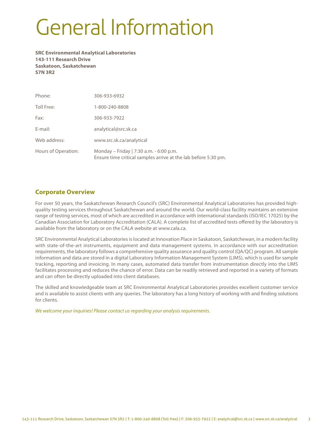# General Information

**SRC Environmental Analytical Laboratories 143-111 Research Drive Saskatoon, Saskatchewan S7N 3R2**

| Phone:              | 306-933-6932                                                                                              |
|---------------------|-----------------------------------------------------------------------------------------------------------|
| Toll Free:          | 1-800-240-8808                                                                                            |
| Fax:                | 306-933-7922                                                                                              |
| E-mail:             | analytical@src.sk.ca                                                                                      |
| Web address:        | www.src.sk.ca/analytical                                                                                  |
| Hours of Operation: | Monday – Friday   7:30 a.m. - 6:00 p.m.<br>Ensure time critical samples arrive at the lab before 5:30 pm. |

## **Corporate Overview**

For over 50 years, the Saskatchewan Research Council's (SRC) Environmental Analytical Laboratories has provided highquality testing services throughout Saskatchewan and around the world. Our world-class facility maintains an extensive range of testing services, most of which are accredited in accordance with international standards (ISO/IEC 17025) by the Canadian Association for Laboratory Accreditation (CALA). A complete list of accredited tests offered by the laboratory is available from the laboratory or on the CALA website at www.cala.ca.

SRC Environmental Analytical Laboratories is located at Innovation Place in Saskatoon, Saskatchewan, in a modern facility with state-of-the-art instruments, equipment and data management systems. In accordance with our accreditation requirements, the laboratory follows a comprehensive quality assurance and quality control (QA/QC) program. All sample information and data are stored in a digital Laboratory Information Management System (LIMS), which is used for sample tracking, reporting and invoicing. In many cases, automated data transfer from instrumentation directly into the LIMS facilitates processing and reduces the chance of error. Data can be readily retrieved and reported in a variety of formats and can often be directly uploaded into client databases.

The skilled and knowledgeable team at SRC Environmental Analytical Laboratories provides excellent customer service and is available to assist clients with any queries. The laboratory has a long history of working with and finding solutions for clients.

*We welcome your inquiries! Please contact us regarding your analysis requirements.*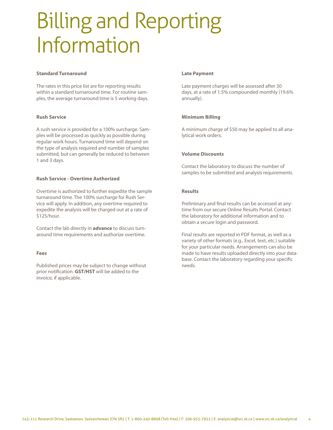# Billing and Reporting Information

#### **Standard Turnaround**

The rates in this price list are for reporting results within a standard turnaround time. For routine samples, the average turnaround time is 5 working days.

## **Rush Service**

A rush service is provided for a 100% surcharge. Samples will be processed as quickly as possible during regular work hours. Turnaround time will depend on the type of analysis required and number of samples submitted, but can generally be reduced to between 1 and 3 days.

## **Rush Service - Overtime Authorized**

Overtime is authorized to further expedite the sample turnaround time. The 100% surcharge for Rush Service will apply. In addition, any overtime required to expedite the analysis will be charged out at a rate of \$125/hour.

Contact the lab directly in **advance** to discuss turnaround time requirements and authorize overtime.

#### **Fees**

Published prices may be subject to change without prior notification. **GST/HST** will be added to the invoice, if applicable.

## **Late Payment**

Late payment charges will be assessed after 30 days, at a rate of 1.5% compounded monthly (19.6% annually).

## **Minimum Billing**

A minimum charge of \$50 may be applied to all analytical work orders.

## **Volume Discounts**

Contact the laboratory to discuss the number of samples to be submitted and analysis requirements.

## **Results**

Preliminary and final results can be accessed at anytime from our secure Online Results Portal. Contact the laboratory for additional information and to obtain a secure login and password.

Final results are reported in PDF format, as well as a variety of other formats (e.g., Excel, text, etc.) suitable for your particular needs. Arrangements can also be made to have results uploaded directly into your database. Contact the laboratory regarding your specific needs.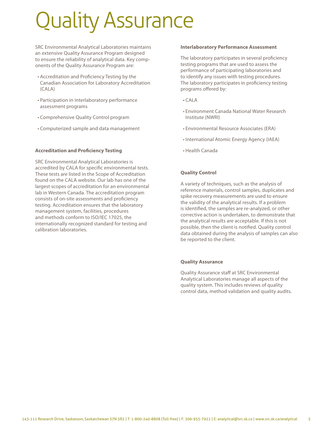# Quality Assurance

SRC Environmental Analytical Laboratories maintains an extensive Quality Assurance Program designed to ensure the reliability of analytical data. Key components of the Quality Assurance Program are:

- • Accreditation and Proficiency Testing by the Canadian Association for Laboratory Accreditation (CALA)
- • Participation in interlaboratory performance assessment programs
- • Comprehensive Quality Control program
- • Computerized sample and data management

## **Accreditation and Proficiency Testing**

SRC Environmental Analytical Laboratories is accredited by CALA for specific environmental tests. These tests are listed in the Scope of Accreditation found on the CALA website. Our lab has one of the largest scopes of accreditation for an environmental lab in Western Canada. The accreditation program consists of on-site assessments and proficiency testing. Accreditation ensures that the laboratory management system, facilities, procedures and methods conform to ISO/IEC 17025, the internationally recognized standard for testing and calibration laboratories.

#### **Interlaboratory Performance Assessment**

The laboratory participates in several proficiency testing programs that are used to assess the performance of participating laboratories and to identify any issues with testing procedures. The laboratory participates in proficiency testing programs offered by:

- • CALA
- • Environment Canada National Water Research Institute (NWRI)
- • Environmental Resource Associates (ERA)
- • International Atomic Energy Agency (IAEA)
- • Health Canada

## **Quality Control**

A variety of techniques, such as the analysis of reference materials, control samples, duplicates and spike recovery measurements are used to ensure the validity of the analytical results. If a problem is identified, the samples are re-analyzed, or other corrective action is undertaken, to demonstrate that the analytical results are acceptable. If this is not possible, then the client is notified. Quality control data obtained during the analysis of samples can also be reported to the client.

#### **Quality Assurance**

Quality Assurance staff at SRC Environmental Analytical Laboratories manage all aspects of the quality system. This includes reviews of quality control data, method validation and quality audits.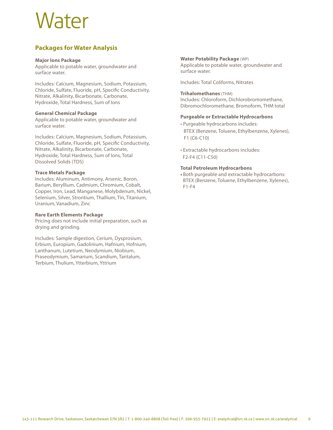## Water

## **Packages for Water Analysis**

#### **Major Ions Package**

Applicable to potable water, groundwater and surface water.

Includes: Calcium, Magnesium, Sodium, Potassium, Chloride, Sulfate, Fluoride, pH, Specific Conductivity, Nitrate, Alkalinity, Bicarbonate, Carbonate, Hydroxide, Total Hardness, Sum of Ions

## **General Chemical Package**

Applicable to potable water, groundwater and surface water.

Includes: Calcium, Magnesium, Sodium, Potassium, Chloride, Sulfate, Fluoride, pH, Specific Conductivity, Nitrate, Alkalinity, Bicarbonate, Carbonate, Hydroxide, Total Hardness, Sum of Ions, Total Dissolved Solids (TDS)

## **Trace Metals Package**

Includes: Aluminum, Antimony, Arsenic, Boron, Barium, Beryllium, Cadmium, Chromium, Cobalt, Copper, Iron, Lead, Manganese, Molybdenum, Nickel, Selenium, Silver, Strontium, Thallium, Tin, Titanium, Uranium, Vanadium, Zinc

## **Rare Earth Elements Package**

Pricing does not include initial preparation, such as drying and grinding.

Includes: Sample digestion, Cerium, Dysprosium, Erbium, Europium, Gadolinium, Hafnium, Hofnium, Lanthanum, Lutetium, Neodymium, Niobium, Praseodymium, Samarium, Scandium, Tantalum, Terbium, Thulium, Ytterbium, Yttrium

## **Water Potability Package** (WP)

Applicable to potable water, groundwater and surface water.

Includes: Total Coliforms, Nitrates

## **Trihalomethanes** (THM)

Includes: Chloroform, Dichlorobromomethane, Dibromochloromethane, Bromoform, THM total

## **Purgeable or Extractable Hydrocarbons**

- Purgeable hydrocarbons includes: BTEX (Benzene, Toluene, Ethylbenzene, Xylenes), F1 (C6-C10)
- Extractable hydrocarbons includes: F2-F4 (C11-C50)

## **Total Petroleum Hydrocarbons**

**•** Both purgeable and extractable hydrocarbons: BTEX (Benzene, Toluene, Ethylbenzene, Xylenes),  $F1-F4$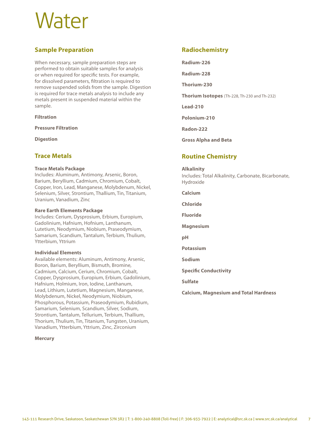## Water

## **Sample Preparation**

When necessary, sample preparation steps are performed to obtain suitable samples for analysis or when required for specific tests. For example, for dissolved parameters, filtration is required to remove suspended solids from the sample. Digestion is required for trace metals analysis to include any metals present in suspended material within the sample.

## **Filtration**

**Pressure Filtration** 

**Digestion** 

## **Trace Metals**

#### **Trace Metals Package**

Includes: Aluminum, Antimony, Arsenic, Boron, Barium, Beryllium, Cadmium, Chromium, Cobalt, Copper, Iron, Lead, Manganese, Molybdenum, Nickel, Selenium, Silver, Strontium, Thallium, Tin, Titanium, Uranium, Vanadium, Zinc

#### **Rare Earth Elements Package**

Includes: Cerium, Dysprosium, Erbium, Europium, Gadolinium, Hafnium, Hofnium, Lanthanum, Lutetium, Neodymium, Niobium, Praseodymium, Samarium, Scandium, Tantalum, Terbium, Thulium, Ytterbium, Yttrium

#### **Individual Elements**

Available elements: Aluminum, Antimony, Arsenic, Boron, Barium, Beryllium, Bismuth, Bromine, Cadmium, Calcium, Cerium, Chromium, Cobalt, Copper, Dysprosium, Europium, Erbium, Gadolinium, Hafnium, Holmium, Iron, Iodine, Lanthanum, Lead, Lithium, Lutetium, Magnesium, Manganese, Molybdenum, Nickel, Neodymium, Niobium, Phosphorous, Potassium, Praseodymium, Rubidium, Samarium, Selenium, Scandium, Silver, Sodium, Strontium, Tantalum, Tellurium, Terbium, Thallium, Thorium, Thulium, Tin, Titanium, Tungsten, Uranium, Vanadium, Ytterbium, Yttrium, Zinc, Zirconium

#### **Mercury**

## **Radiochemistry**

**Radium-226** 

**Radium-228** 

**Thorium-230** 

**Thorium Isotopes** (Th-228, Th-230 and Th-232)

**Lead-210** 

**Polonium-210** 

**Radon-222** 

**Gross Alpha and Beta** 

## **Routine Chemistry**

#### **Alkalinity**

Includes: Total Alkalinity, Carbonate, Bicarbonate, Hydroxide

**Calcium** 

**Chloride** 

**Fluoride** 

**Magnesium** 

**pH** 

**Potassium** 

**Sodium** 

**Specific Conductivity** 

**Sulfate** 

**Calcium, Magnesium and Total Hardness**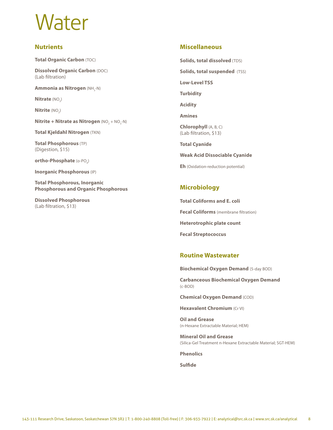## Water

## **Nutrients**

**Total Organic Carbon** (TOC)

**Dissolved Organic Carbon** (DOC) (Lab filtration)

**Ammonia as Nitrogen** (NH<sub>3</sub>-N)

**Nitrate** (NO<sub>3</sub>)

 $N$ **itrite**  $(NO<sub>2</sub>)$ 

**Nitrite + Nitrate as Nitrogen**  $(NO<sub>2</sub> + NO<sub>3</sub> - N)$ 

**Total Kjeldahl Nitrogen** (TKN)

**Total Phosphorous** (TP) (Digestion, \$15)

**ortho-Phosphate** (o-PO<sub>4</sub>)

**Inorganic Phosphorous** (IP)

**Total Phosphorous, Inorganic Phosphorous and Organic Phosphorous** 

**Dissolved Phosphorous**  (Lab filtration, \$13)

## **Miscellaneous**

**Solids, total dissolved** (TDS)

**Solids, total suspended** (TSS)

**Low-Level TSS** 

**Turbidity** 

**Acidity** 

**Amines** 

**Chlorophyll** (A, B, C) (Lab filtration, \$13)

**Total Cyanide** 

**Weak Acid Dissociable Cyanide** 

**Eh** (Oxidation-reduction potential)

## **Microbiology**

**Total Coliforms and E. coli Fecal Coliforms** (membrane filtration) **Heterotrophic plate count Fecal Streptococcus** 

## **Routine Wastewater**

**Biochemical Oxygen Demand** (5-day BOD)

**Carbanceous Biochemical Oxygen Demand**  (c-BOD)

**Chemical Oxygen Demand** (COD)

**Hexavalent Chromium** (Cr VI)

**Oil and Grease**  (n-Hexane Extractable Material; HEM)

**Mineral Oil and Grease**  (Silica-Gel Treatment n-Hexane Extractable Material; SGT-HEM)

**Phenolics** 

**Sulfide**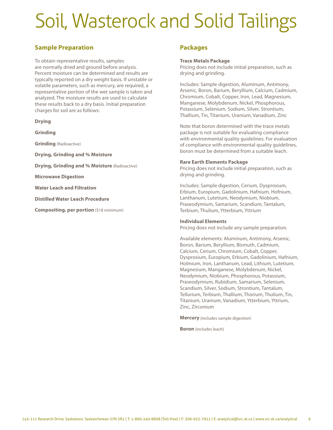## Soil, Wasterock and Solid Tailings

## **Sample Preparation**

To obtain representative results, samples are normally dried and ground before analysis. Percent moisture can be determined and results are typically reported on a dry weight basis. If unstable or volatile parameters, such as mercury, are required, a representative portion of the wet sample is taken and analyzed. The moisture results are used to calculate these results back to a dry basis. Initial preparation charges for soil are as follows:

## **Drying**

**Grinding** 

**Grinding** (Radioactive)

**Drying, Grinding and % Moisture** 

**Drying, Grinding and % Moisture** (Radioactive)

**Microwave Digestion** 

**Water Leach and Filtration** 

**Distilled Water Leach Procedure** 

**Compositing, per portion** (\$18 minimum)

## **Packages**

#### **Trace Metals Package**

Pricing does not include initial preparation, such as drying and grinding.

Includes: Sample digestion, Aluminum, Antimony, Arsenic, Boron, Barium, Beryllium, Calcium, Cadmium, Chromium, Cobalt, Copper, Iron, Lead, Magnesium, Manganese, Molybdenum, Nickel, Phosphorous, Potassium, Selenium, Sodium, Silver, Strontium, Thallium, Tin, Titanium, Uranium, Vanadium, Zinc

Note that boron determined with the trace metals package is not suitable for evaluating compliance with environmental quality guidelines. For evaluation of compliance with environmental quality guidelines, boron must be determined from a suitable leach.

#### **Rare Earth Elements Package**

Pricing does not include initial preparation, such as drying and grinding.

Includes: Sample digestion, Cerium, Dysprosium, Erbium, Europium, Gadolinium, Hafnium, Hofnium, Lanthanum, Lutetium, Neodymium, Niobium, Praseodymium, Samarium, Scandium, Tantalum, Terbium, Thulium, Ytterbium, Yttrium

#### **Individual Elements**

Pricing does not include any sample preparation.

Available elements: Aluminum, Antimony, Arsenic, Boron, Barium, Beryllium, Bismuth, Cadmium, Calcium, Cerium, Chromium, Cobalt, Copper, Dysprosium, Europium, Erbium, Gadolinium, Hafnium, Holmium, Iron, Lanthanum, Lead, Lithium, Lutetium, Magnesium, Manganese, Molybdenum, Nickel, Neodymium, Niobium, Phosphorous, Potassium, Praseodymium, Rubidium, Samarium, Selenium, Scandium, Silver, Sodium, Strontium, Tantalum, Tellurium, Terbium, Thallium, Thorium, Thulium, Tin, Titanium, Uranium, Vanadium, Ytterbium, Yttrium, Zinc, Zirconium

**Mercury** (includes sample digestion)

**Boron** (includes leach)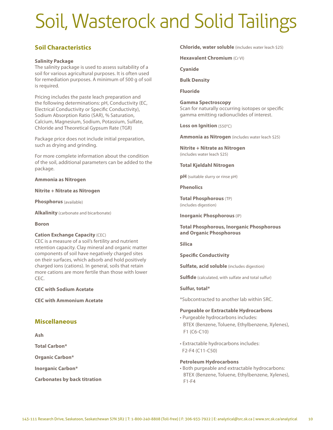## Soil, Wasterock and Solid Tailings

## **Soil Characteristics**

## **Salinity Package**

The salinity package is used to assess suitability of a soil for various agricultural purposes. It is often used for remediation purposes. A minimum of 500 g of soil is required.

Pricing includes the paste leach preparation and the following determinations: pH, Conductivity (EC, Electrical Conductivity or Specific Conductivity), Sodium Absorption Ratio (SAR), % Saturation, Calcium, Magnesium, Sodium, Potassium, Sulfate, Chloride and Theoretical Gypsum Rate (TGR)

Package price does not include initial preparation, such as drying and grinding.

For more complete information about the condition of the soil, additional parameters can be added to the package.

**Ammonia as Nitrogen** 

#### **Nitrite + Nitrate as Nitrogen**

**Phosphorus** (available)

**Alkalinity** (carbonate and bicarbonate)

#### **Boron**

#### **Cation Exchange Capacity** (CEC)

CEC is a measure of a soil's fertility and nutrient retention capacity. Clay mineral and organic matter components of soil have negatively charged sites on their surfaces, which adsorb and hold positively charged ions (cations). In general, soils that retain more cations are more fertile than those with lower CEC.

**CEC with Sodium Acetate** 

**CEC with Ammonium Acetate** 

## **Miscellaneous**

**Ash** 

**Total Carbon\*** 

**Organic Carbon\*** 

**Inorganic Carbon\*** 

**Carbonates by back titration** 

**Chloride, water soluble** (includes water leach \$25)

**Hexavalent Chromium** (Cr VI)

**Cyanide** 

**Bulk Density** 

**Fluoride** 

## **Gamma Spectroscopy**

Scan for naturally occurring isotopes or specific gamma emitting radionuclides of interest.

**Loss on Ignition** (550°C)

**Ammonia as Nitrogen** (includes water leach \$25)

**Nitrite + Nitrate as Nitrogen**  (includes water leach \$25)

**Total Kjeldahl Nitrogen** 

**pH** (suitable slurry or rinse pH)

**Phenolics** 

**Total Phosphorous** (TP) (includes digestion)

**Inorganic Phosphorous** (IP)

#### **Total Phosphorous, Inorganic Phosphorous and Organic Phosphorous**

**Silica** 

**Specific Conductivity** 

**Sulfate, acid soluble** (includes digestion)

**Sulfide** (calculated, with sulfate and total sulfur)

#### **Sulfur, total\***

\*Subcontracted to another lab within SRC.

#### **Purgeable or Extractable Hydrocarbons**

- Purgeable hydrocarbons includes: BTEX (Benzene, Toluene, Ethylbenzene, Xylenes), F1 (C6-C10)
- Extractable hydrocarbons includes: F2-F4 (C11-C50)

#### **Petroleum Hydrocarbons**

• Both purgeable and extractable hydrocarbons: BTEX (Benzene, Toluene, Ethylbenzene, Xylenes), F1-F4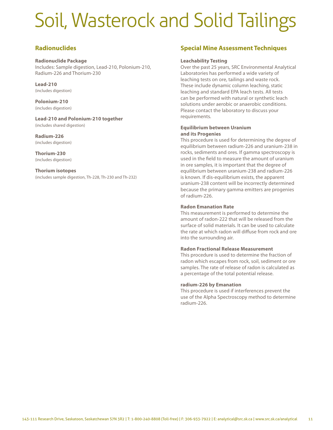## Soil, Wasterock and Solid Tailings

## **Radionuclides**

#### **Radionuclide Package**

Includes: Sample digestion, Lead-210, Polonium-210, Radium-226 and Thorium-230

#### **Lead-210**  (includes digestion)

**Polonium-210**  (includes digestion)

**Lead-210 and Polonium-210 together**  (includes shared digestion)

**Radium-226**  (includes digestion)

**Thorium-230**  (includes digestion)

## **Thorium isotopes**

(includes sample digestion, Th-228, Th-230 and Th-232)

## **Special Mine Assessment Techniques**

#### **Leachability Testing**

Over the past 25 years, SRC Environmental Analytical Laboratories has performed a wide variety of leaching tests on ore, tailings and waste rock. These include dynamic column leaching, static leaching and standard EPA leach tests. All tests can be performed with natural or synthetic leach solutions under aerobic or anaerobic conditions. Please contact the laboratory to discuss your requirements.

## **Equilibrium between Uranium and its Progenies**

This procedure is used for determining the degree of equilibrium between radium-226 and uranium-238 in rocks, sediments and ores. If gamma spectroscopy is used in the field to measure the amount of uranium in ore samples, it is important that the degree of equilibrium between uranium-238 and radium-226 is known. If dis-equilibrium exists, the apparent uranium-238 content will be incorrectly determined because the primary gamma emitters are progenies of radium-226.

## **Radon Emanation Rate**

This measurement is performed to determine the amount of radon-222 that will be released from the surface of solid materials. It can be used to calculate the rate at which radon will diffuse from rock and ore into the surrounding air.

#### **Radon Fractional Release Measurement**

This procedure is used to determine the fraction of radon which escapes from rock, soil, sediment or ore samples. The rate of release of radon is calculated as a percentage of the total potential release.

#### **radium-226 by Emanation**

This procedure is used if interferences prevent the use of the Alpha Spectroscopy method to determine radium-226.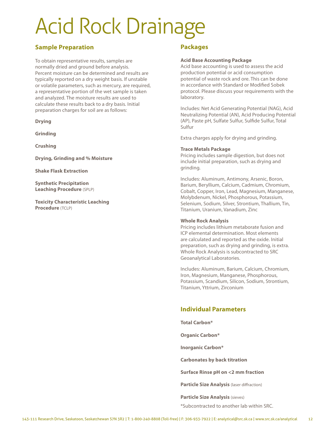# Acid Rock Drainage

## **Sample Preparation**

To obtain representative results, samples are normally dried and ground before analysis. Percent moisture can be determined and results are typically reported on a dry weight basis. If unstable or volatile parameters, such as mercury, are required, a representative portion of the wet sample is taken and analyzed. The moisture results are used to calculate these results back to a dry basis. Initial preparation charges for soil are as follows:

**Drying** 

**Grinding** 

**Crushing** 

**Drying, Grinding and % Moisture** 

**Shake Flask Extraction** 

**Synthetic Precipitation Leaching Procedure** (SPLP)

**Toxicity Characteristic Leaching Procedure** (TCLP)

## **Packages**

#### **Acid Base Accounting Package**

Acid base accounting is used to assess the acid production potential or acid consumption potential of waste rock and ore. This can be done in accordance with Standard or Modified Sobek protocol. Please discuss your requirements with the laboratory.

Includes: Net Acid Generating Potential (NAG), Acid Neutralizing Potential (AN), Acid Producing Potential (AP), Paste pH, Sulfate Sulfur, Sulfide Sulfur, Total Sulfur

Extra charges apply for drying and grinding.

## **Trace Metals Package**

Pricing includes sample digestion, but does not include initial preparation, such as drying and grinding.

Includes: Aluminum, Antimony, Arsenic, Boron, Barium, Beryllium, Calcium, Cadmium, Chromium, Cobalt, Copper, Iron, Lead, Magnesium, Manganese, Molybdenum, Nickel, Phosphorous, Potassium, Selenium, Sodium, Silver, Strontium, Thallium, Tin, Titanium, Uranium, Vanadium, Zinc

#### **Whole Rock Analysis**

Pricing includes lithium metaborate fusion and ICP elemental determination. Most elements are calculated and reported as the oxide. Initial preparation, such as drying and grinding, is extra. Whole Rock Analysis is subcontracted to SRC Geoanalytical Laboratories.

Includes: Aluminum, Barium, Calcium, Chromium, Iron, Magnesium, Manganese, Phosphorous, Potassium, Scandium, Silicon, Sodium, Strontium, Titanium, Yttrium, Zirconium

## **Individual Parameters**

**Total Carbon\*** 

**Organic Carbon\*** 

**Inorganic Carbon\*** 

**Carbonates by back titration** 

**Surface Rinse pH on <2 mm fraction** 

**Particle Size Analysis** (laser diffraction)

**Particle Size Analysis** (sieves)

\*Subcontracted to another lab within SRC.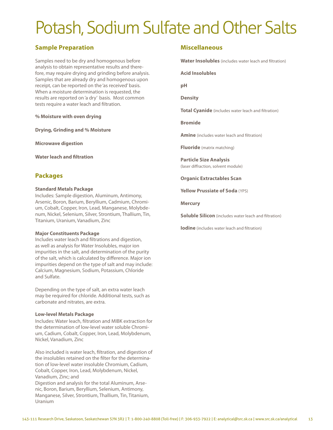## Potash, Sodium Sulfate and Other Salts

## **Sample Preparation**

Samples need to be dry and homogenous before analysis to obtain representative results and therefore, may require drying and grinding before analysis. Samples that are already dry and homogenous upon receipt, can be reported on the 'as received' basis. When a moisture determination is requested, the results are reported on 'a dry' basis. Most common tests require a water leach and filtration.

**% Moisture with oven drying** 

**Drying, Grinding and % Moisture** 

**Microwave digestion** 

**Water leach and filtration** 

## **Packages**

#### **Standard Metals Package**

Includes: Sample digestion, Aluminum, Antimony, Arsenic, Boron, Barium, Beryllium, Cadmium, Chromium, Cobalt, Copper, Iron, Lead, Manganese, Molybdenum, Nickel, Selenium, Silver, Strontium, Thallium, Tin, Titanium, Uranium, Vanadium, Zinc

#### **Major Constituents Package**

Includes water leach and filtrations and digestion, as well as analysis for Water Insolubles, major ion impurities in the salt, and determination of the purity of the salt, which is calculated by difference. Major ion impurities depend on the type of salt and may include: Calcium, Magnesium, Sodium, Potassium, Chloride and Sulfate.

Depending on the type of salt, an extra water leach may be required for chloride. Additional tests, such as carbonate and nitrates, are extra.

#### **Low-level Metals Package**

Includes: Water leach, filtration and MIBK extraction for the determination of low-level water soluble Chromium, Cadium, Cobalt, Copper, Iron, Lead, Molybdenum, Nickel, Vanadium, Zinc

Also included is water leach, filtration, and digestion of the insolubles retained on the filter for the determination of low-level water insoluble Chromium, Cadium, Cobalt, Copper, Iron, Lead, Molybdenum, Nickel, Vanadium, Zinc; and

Digestion and analysis for the total Aluminum, Arsenic, Boron, Barium, Beryllium, Selenium, Antimony, Manganese, Silver, Strontium, Thallium, Tin, Titanium, Uranium

## **Miscellaneous**

**Water Insolubles** (includes water leach and filtration)

**Acid Insolubles** 

**pH** 

**Density** 

**Total Cyanide** (includes water leach and filtration)

**Bromide** 

**Amine** (includes water leach and filtration)

**Fluoride** (matrix matching)

**Particle Size Analysis**  (laser diffraction, solvent module)

**Organic Extractables Scan** 

**Yellow Prussiate of Soda** (YPS)

**Mercury** 

**Soluble Silicon** (includes water leach and filtration)

**Iodine** (includes water leach and filtration)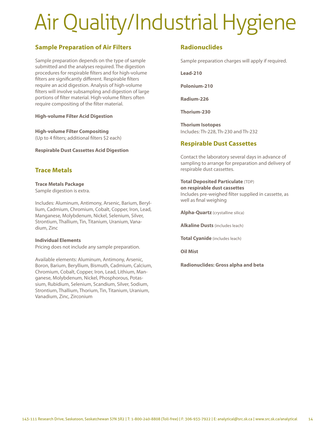# Air Quality/Industrial Hygiene

## **Sample Preparation of Air Filters**

Sample preparation depends on the type of sample submitted and the analyses required. The digestion procedures for respirable filters and for high-volume filters are significantly different. Respirable filters require an acid digestion. Analysis of high-volume filters will involve subsampling and digestion of large portions of filter material. High-volume filters often require compositing of the filter material.

## **High-volume Filter Acid Digestion**

**High-volume Filter Compositing**  (Up to 4 filters; additional filters \$2 each)

**Respirable Dust Cassettes Acid Digestion** 

## **Trace Metals**

## **Trace Metals Package**

Sample digestion is extra.

Includes: Aluminum, Antimony, Arsenic, Barium, Beryllium, Cadmium, Chromium, Cobalt, Copper, Iron, Lead, Manganese, Molybdenum, Nickel, Selenium, Silver, Strontium, Thallium, Tin, Titanium, Uranium, Vanadium, Zinc

## **Individual Elements**

Pricing does not include any sample preparation.

Available elements: Aluminum, Antimony, Arsenic, Boron, Barium, Beryllium, Bismuth, Cadmium, Calcium, Chromium, Cobalt, Copper, Iron, Lead, Lithium, Manganese, Molybdenum, Nickel, Phosphorous, Potassium, Rubidium, Selenium, Scandium, Silver, Sodium, Strontium, Thallium, Thorium, Tin, Titanium, Uranium, Vanadium, Zinc, Zirconium

## **Radionuclides**

Sample preparation charges will apply if required.

**Lead-210** 

**Polonium-210** 

**Radium-226** 

**Thorium-230** 

**Thorium Isotopes**  Includes: Th-228, Th-230 and Th-232

## **Respirable Dust Cassettes**

Contact the laboratory several days in advance of sampling to arrange for preparation and delivery of respirable dust cassettes.

**Total Deposited Particulate** (TDP) **on respirable dust cassettes**  Includes pre-weighed filter supplied in cassette, as well as final weighing

**Alpha-Quartz** (crystalline silica)

**Alkaline Dusts** (includes leach)

**Total Cyanide** (includes leach)

**Oil Mist** 

**Radionuclides: Gross alpha and beta**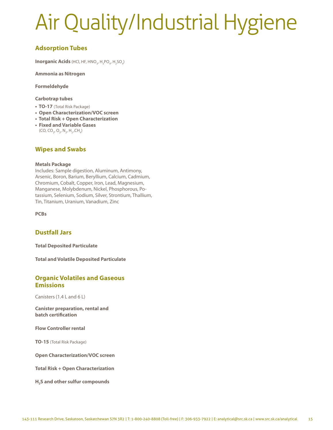# Air Quality/Industrial Hygiene

## **Adsorption Tubes**

**Inorganic Acids** (HCl, HF, HNO<sub>3</sub>, H<sub>3</sub>PO<sub>4</sub>, H<sub>2</sub>SO<sub>4</sub>)

**Ammonia as Nitrogen** 

**Formeldehyde** 

## **Carbotrap tubes**

- **TO-17** (Total Risk Package)
- **Open Characterization/VOC screen**
- **Total Risk + Open Characterization**
- **Fixed and Variable Gases** (CO, CO<sub>2</sub>, O<sub>2</sub>, N<sub>2</sub>, H<sub>2</sub>, CH<sub>4</sub>)

## **Wipes and Swabs**

## **Metals Package**

Includes: Sample digestion, Aluminum, Antimony, Arsenic, Boron, Barium, Beryllium, Calcium, Cadmium, Chromium, Cobalt, Copper, Iron, Lead, Magnesium, Manganese, Molybdenum, Nickel, Phosphorous, Potassium, Selenium, Sodium, Silver, Strontium, Thallium, Tin, Titanium, Uranium, Vanadium, Zinc

**PCBs** 

## **Dustfall Jars**

**Total Deposited Particulate** 

**Total and Volatile Deposited Particulate** 

## **Organic Volatiles and Gaseous Emissions**

Canisters (1.4 L and 6 L)

**Canister preparation, rental and batch certification** 

**Flow Controller rental** 

**TO-15** (Total Risk Package)

**Open Characterization/VOC screen** 

**Total Risk + Open Characterization** 

**H2S and other sulfur compounds**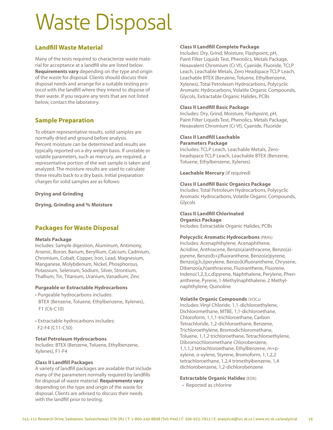# Waste Disposal

## **Landfill Waste Material**

Many of the tests required to characterize waste material for acceptance at a landfill site are listed below. **Requirements vary** depending on the type and origin of the waste for disposal. Clients should discuss their disposal needs and arrange for a suitable testing protocol with the landfill where they intend to dispose of their waste. If you require any tests that are not listed below, contact the laboratory.

## **Sample Preparation**

To obtain representative results, solid samples are normally dried and ground before analysis. Percent moisture can be determined and results are typically reported on a dry weight basis. If unstable or volatile parameters, such as mercury, are required, a representative portion of the wet sample is taken and analyzed. The moisture results are used to calculate these results back to a dry basis. Initial preparation charges for solid samples are as follows:

## **Drying and Grinding**

**Drying, Grinding and % Moisture** 

## **Packages for Waste Disposal**

## **Metals Package**

Includes: Sample digestion, Aluminum, Antimony, Arsenic, Boron, Barium, Beryllium, Calcium, Cadmium, Chromium, Cobalt, Copper, Iron, Lead, Magnesium, Manganese, Molybdenum, Nickel, Phosphorous, Potassium, Selenium, Sodium, Silver, Strontium, Thallium, Tin, Titanium, Uranium, Vanadium, Zinc

## **Purgeable or Extractable Hydrocarbons**

- Purgeable hydrocarbons includes: BTEX (Benzene, Toluene, Ethylbenzene, Xylenes), F1 (C6-C10)
- Extractable hydrocarbons includes: F2-F4 (C11-C50)

## **Total Petroleum Hydrocarbons**

Includes: BTEX (Benzene, Toluene, Ethylbenzene, Xylenes), F1-F4

## **Class II Landfill Packages**

A variety of landfill packages are available that include many of the parameters normally required by landfills for disposal of waste material. **Requirements vary**  depending on the type and origin of the waste for disposal. Clients are advised to discuss their needs with the landfill prior to testing.

## **Class II Landfill Complete Package**

Includes: Dry, Grind, Moisture, Flashpoint, pH, Paint Filter Liquids Test, Phenolics, Metals Package, Hexavalent Chromium (Cr VI), Cyanide, Fluoride, TCLP Leach, Leachable Metals, Zero Headspace TCLP Leach, Leachable BTEX (Benzene, Toluene, Ethylbenzene, Xylenes), Total Petroleum Hydrocarbons, Polycyclic Aromatic Hydrocarbons, Volatile Organic Compounds, Glycols, Extractable Organic Halides, PCBs

## **Class II Landfill Basic Package**

Includes: Dry, Grind, Moisture, Flashpoint, pH, Paint Filter Liquids Test, Phenolics, Metals Package, Hexavalent Chromium (Cr VI), Cyanide, Fluoride

#### **Class II Landfill Leachable Parameters Package**

Includes: TCLP Leach, Leachable Metals, Zeroheadspace TCLP Leach, Leachable BTEX (Benzene, Toluene, Ethylbenzene, Xylenes)

**Leachable Mercury** (if required)

## **Class II Landfill Basic Organics Package**

Includes: Total Petroleum Hydrocarbons, Polycyclic Aromatic Hydrocarbons, Volatile Organic Compounds, Glycols

#### **Class II Landfill Chlorinated Organics Package**

Includes: Extractable Organic Halides, PCBs

**Polycyclic Aromatic Hydrocarbons** (PAHs) Includes: Acenaphthylene, Acenaphthene, Acridine, Anthracene, Benzo(a)anthracene, Benzo(a)-

pyrene, Benzo(b+j)fluoranthene, Benzo(e)pyrene, Benzo(g,h,i)perylene, Benzo(k)fluoranthene, Chrysene, Dibenzo(a,h)anthracene, Fluoranthene, Fluorene, Indeno(1,2,3,c,d)pyrene, Naphthalene, Perylene, Phenanthrene, Pyrene, 1-Methylnaphthalene, 2 Methylnaphthylene, Quinoline

## **Volatile Organic Compounds** (VOCs)

Includes: Vinyl Chloride, 1,1-dichloroethylene, Dichloromethane, MTBE, 1,1-dichloroethane, Chloroform, 1,1,1-trichloroethane, Carbon Tetrachloride, 1,2-dichloroethane, Benzene, Trichloroethylene, Bromodichloromethane, Toluene, 1,1,2 trichloroethane, Tetrachloroethylene, Dibromochloromethane Chlorobenzene, 1,1,1,2 tetrachloroethane, Ethylbenzene, m+pxylene, o-xylene, Styrene, Bromoform, 1,1,2,2 tetrachloroethane, 1,2,4 trimethylbenzene, 1,4 dichlorobenzene, 1,2-dichlorobenzene

## **Extractable Organic Halides** (EOX)

• Reported as chlorine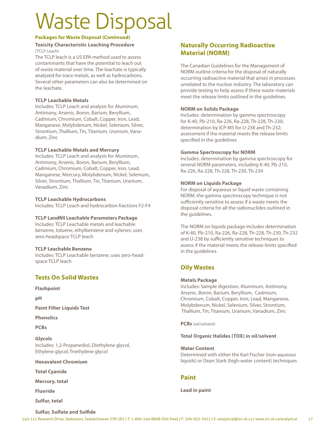# Waste Disposal

## **Packages for Waste Disposal (Continued)**

## **Toxicity Characteristic Leaching Procedure** (TCLP Leach)

The TCLP leach is a US EPA method used to assess contaminants that have the potential to leach out of waste material over time. The leachate is typically analyzed for trace metals, as well as hydrocarbons. Several other parameters can also be determined on the leachate.

## **TCLP Leachable Metals**

Includes: TCLP Leach and analysis for Aluminum, Antimony, Arsenic, Boron, Barium, Beryllium, Cadmium, Chromium, Cobalt, Copper, Iron, Lead, Manganese, Molybdenum, Nickel, Selenium, Silver, Strontium, Thallium, Tin, Titanium, Uranium, Vanadium, Zinc

## **TCLP Leachable Metals and Mercury**

Includes: TCLP Leach and analysis for Aluminum, Antimony, Arsenic, Boron, Barium, Beryllium, Cadmium, Chromium, Cobalt, Copper, Iron, Lead, Manganese, Mercury, Molybdenum, Nickel, Selenium, Silver, Strontium, Thallium, Tin, Titanium, Uranium, Vanadium, Zinc

## **TCLP Leachable Hydrocarbons**

Includes: TCLP Leach and hydrocarbon fractions F2-F4

#### **TCLP Landfill Leachable Parameters Package**

Includes: TCLP Leachable metals and leachable benzene, toluene, ethylbenzene and xylenes; uses zero-headspace TCLP leach

#### **TCLP Leachable Benzene**

Includes: TCLP Leachable benzene; uses zero-headspace TCLP leach

## **Tests On Solid Wastes**

**Flashpoint** 

**pH** 

**Paint Filter Liquids Test** 

**Phenolics** 

**PCBs** 

**Glycols**  Includes: 1,2-Propanediol, Diethylene glycol, Ethylene glycol, Triethylene glycol

#### **Hexavalent Chromium**

**Total Cyanide** 

**Mercury, total** 

**Fluoride** 

**Sulfur, total** 

## **Naturally Occurring Radioactive Material (NORM)**

The Canadian Guidelines for the Management of NORM outline criteria for the disposal of naturally occurring radioactive material that arises in processes unrelated to the nuclear industry. The laboratory can provide testing to help assess if these waste materials meet the release limits outlined in the guidelines.

## **NORM on Solids Package**

Includes: determination by gamma spectroscopy for K-40, Pb-210, Ra-226, Ra-228, Th-228, Th-230; determination by ICP-MS for U-238 and Th-232; assessment if the material meets the release limits specified in the guidelines

## **Gamma Spectroscopy for NORM**

Includes: determination by gamma spectroscopy for several NORM parameters, including K-40, Pb-210, Ra-226, Ra-228, Th-228, Th-230, Th-234

## **NORM on Liquids Package**

For disposal of aqueous or liquid waste containing NORM, the gamma spectroscopy technique is not sufficiently sensitive to assess if a waste meets the disposal criteria for all the radionuclides outlined in the guidelines.

The NORM on liquids package includes determination of K-40, Pb-210, Ra-226, Ra-228, Th-228, Th-230, Th-232 and U-238 by sufficiently sensitive techniques to assess if the material meets the release limits specified in the guidelines.

## **Oily Wastes**

#### **Metals Package**

Includes: Sample digestion, Aluminum, Antimony, Arsenic, Boron, Barium, Beryllium, Cadmium, Chromium, Cobalt, Copper, Iron, Lead, Manganese, Molybdenum, Nickel, Selenium, Silver, Strontium, Thallium, Tin, Titanium, Uranium, Vanadium, Zinc

**PCBs** (oil/solvent)

#### **Total Organic Halides (TOX) in oil/solvent**

**Water Content**  Determined with either the Karl Fischer (non-aqueous liquids) or Dean Stark (high-water content) techniques

## **Paint**

**Lead in paint** 

**Sulfur, Sulfate and Sulfide**